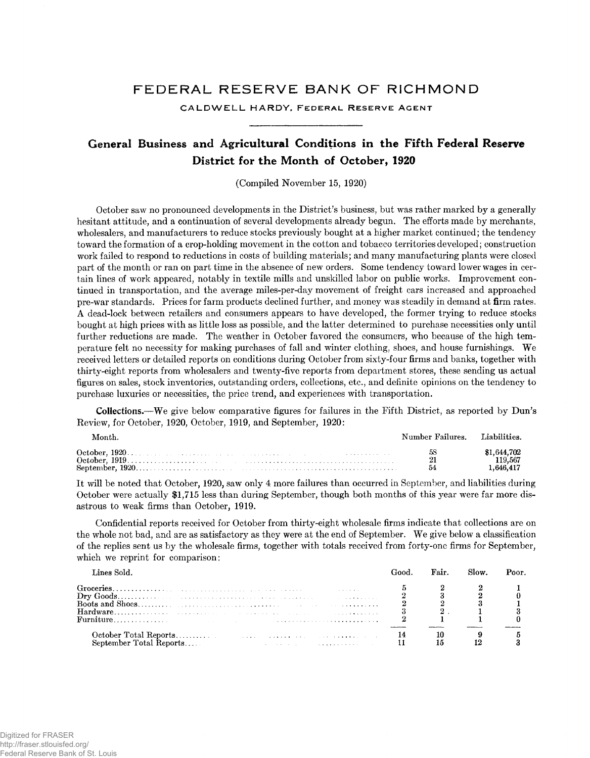## FEDERAL RESERVE BANK OF RICHMOND

CALDWELL HARDY, FEDERAL RESERVE AGENT

## **General Business and Agricultural Conditions in the Fifth Federal Reserve District for the Month of October, 1920**

(Compiled November 15, 1920)

October saw no pronounced developments in the District's business, but was rather marked by a generally hesitant attitude, and a continuation of several developments already begun. The efforts made by merchants, wholesalers, and manufacturers to reduce stocks previously bought at a higher market continued; the tendency toward the formation of a crop-holding movement in the cotton and tobacco territories developed; construction work failed to respond to reductions in costs of building materials; and many manufacturing plants were closed part of the month or ran on part time in the absence of new orders. Some tendency toward lower wages in certain lines of work appeared, notably in textile mills and unskilled labor on public works. Improvement continued in transportation, and the average miles-per-day movement of freight cars increased and approached pre-war standards. Prices for farm products declined further, and money was steadily in demand at firm rates. A dead-lock between retailers and consumers appears to have developed, the former trying to reduce stocks bought at high prices with as little loss as possible, and the latter determined to purchase necessities only until further reductions are made. The weather in October favored the consumers, who because of the high temperature felt no necessity for making purchases of fall and winter clothing, shoes, and house furnishings. We received letters or detailed reports on conditions during October from sixty-four firms and banks, together with thirty-eight reports from wholesalers and twenty-five reports from department stores, these sending us actual figures on sales, stock inventories, outstanding orders, collections, etc., and definite opinions on the tendency to purchase luxuries or necessities, the price trend, and experiences with transportation.

**Collections.**—We give below comparative figures for failures in the Fifth District, as reported by Dun's Review, for October, 1920, October, 1919, and September, 1920:

| Month. | Number Failures. |                                              |
|--------|------------------|----------------------------------------------|
|        |                  | \$1.644.702<br>119.567<br>$1.646.41^{\circ}$ |

It will be noted that October, 1920, saw only 4 more failures than occurred in September, and liabilities during October were actually \$1,715 less than during September, though both months of this year were far more disastrous to weak firms than October, 1919.

Confidential reports received for October from thirty-eight wholesale firms indicate that collections are on the whole not bad, and are as satisfactory as they were at the end of September. We give below a classification of the replies sent us by the wholesale firms, together with totals received from forty-one firms for September, which we reprint for comparison:

| Lines Sold.                                                                                                                                                                                                                                                          | Fair. | Slow. | Poor. |
|----------------------------------------------------------------------------------------------------------------------------------------------------------------------------------------------------------------------------------------------------------------------|-------|-------|-------|
|                                                                                                                                                                                                                                                                      |       |       |       |
| Sentember Total Reports<br>$\mathcal{L}_{\mathcal{A}}$ , and the contribution of the contribution of the contribution of the contribution of the contribution of the contribution of the contribution of the contribution of the contribution of the contribution of |       |       |       |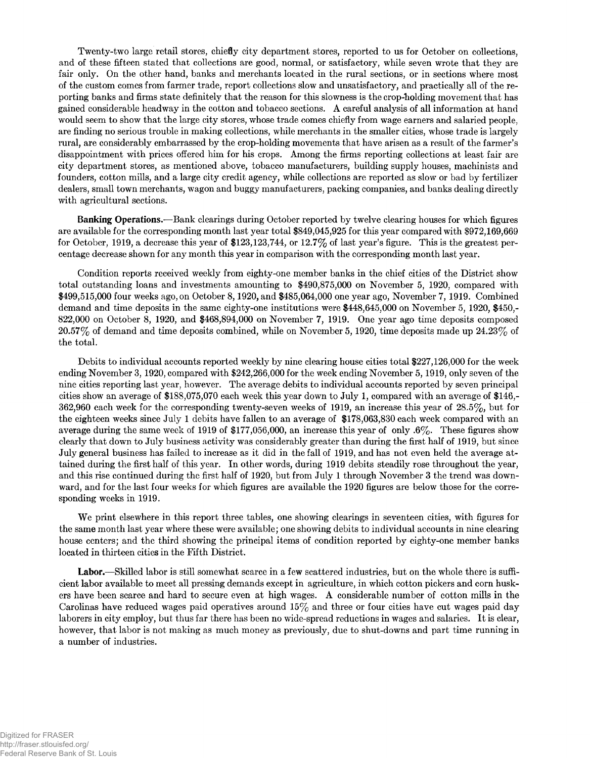Twenty-two large retail stores, chiefly city department stores, reported to us for October on collections, and of these fifteen stated that collections are good, normal, or satisfactory, while seven wrote that they are fair only. On the other hand, banks and merchants located in the rural sections, or in sections where most of the custom comes from farmer trade, report collections slow and unsatisfactory, and practically all of the reporting banks and firms state definitely that the reason for this slowness is the crop-holding movement that has gained considerable headway in the cotton and tobacco sections. A careful analysis of all information at hand would seem to show that the large city stores, whose trade comes chiefly from wage earners and salaried people, are finding no serious trouble in making collections, while merchants in the smaller cities, whose trade is largely rural, are considerably embarrassed by the crop-holding movements that have arisen as a result of the farmer's disappointment with prices offered him for his crops. Among the firms reporting collections at least fair are city department stores, as mentioned above, tobacco manufacturers, building supply houses, machinists and founders, cotton mills, and a large city credit agency, while collections are reported as slow or bad by fertilizer dealers, small town merchants, wagon and buggy manufacturers, packing companies, and banks dealing directly with agricultural sections.

**Banking Operations.**— Bank clearings during October reported by twelve clearing houses for which figures are available for the corresponding month last year total \$849,045,925 for this year compared with \$972,169,669 for October, 1919, a decrease this year of \$123,123,744, or  $12.7\%$  of last year's figure. This is the greatest percentage decrease shown for any month this year in comparison with the corresponding month last year.

Condition reports received weekly from eighty-one member banks in the chief cities of the District show total outstanding loans and investments amounting to \$490,875,000 on November 5, 1920, compared with \$499,515,000 four weeks ago, on October 8,1920, and \$485,064,000 one year ago, November 7, 1919. Combined demand and time deposits in the same eighty-one institutions were \$448,645,000 on November 5, 1920, \$450,- 822,000 on October 8, 1920, and \$468,894,000 on November 7, 1919. One year ago time deposits composed 20.57% of demand and time deposits combined, while on November 5,1920, time deposits made up 24.23% of the total.

Debits to individual accounts reported weekly by nine clearing house cities total \$227,126,000 for the week ending November 3,1920, compared with \$242,266,000 for the week ending November 5, 1919, only seven of the nine cities reporting last year, however. The average debits to individual accounts reported by seven principal cities show an average of \$188,075,070 each week this year down to July 1, compared with an average of \$146,- 362,960 each week for the corresponding twenty-seven weeks of 1919, an increase this year of 28.5%, but for the eighteen weeks since July 1 debits have fallen to an average of \$178,063,830 each week compared with an average during the same week of 1919 of \$177,056,000, an increase this year of only  $.6\%$ . These figures show clearly that down to July business activity was considerably greater than during the first half of 1919, but since July general business has failed to increase as it did in the fall of 1919, and has not even held the average attained during the first half of this year. In other words, during 1919 debits steadily rose throughout the year, and this rise continued during the first half of 1920, but from July 1 through November 3 the trend was downward, and for the last four weeks for which figures are available the 1920 figures are below those for the corresponding weeks in 1919.

We print elsewhere in this report three tables, one showing clearings in seventeen cities, with figures for the same month last year where these were available; one showing debits to individual accounts in nine clearing house centers; and the third showing the principal items of condition reported by eighty-one member banks located in thirteen cities in the Fifth District.

Labor.—Skilled labor is still somewhat scarce in a few scattered industries, but on the whole there is sufficient labor available to meet all pressing demands except in agriculture, in which cotton pickers and corn huskers have been scarce and hard to secure even at high wages. A considerable number of cotton mills in the Carolinas have reduced wages paid operatives around  $15\%$  and three or four cities have cut wages paid day laborers in city employ, but thus far there has been no wide-spread reductions in wages and salaries. It is clear, however, that labor is not making as much money as previously, due to shut-downs and part time running in a number of industries.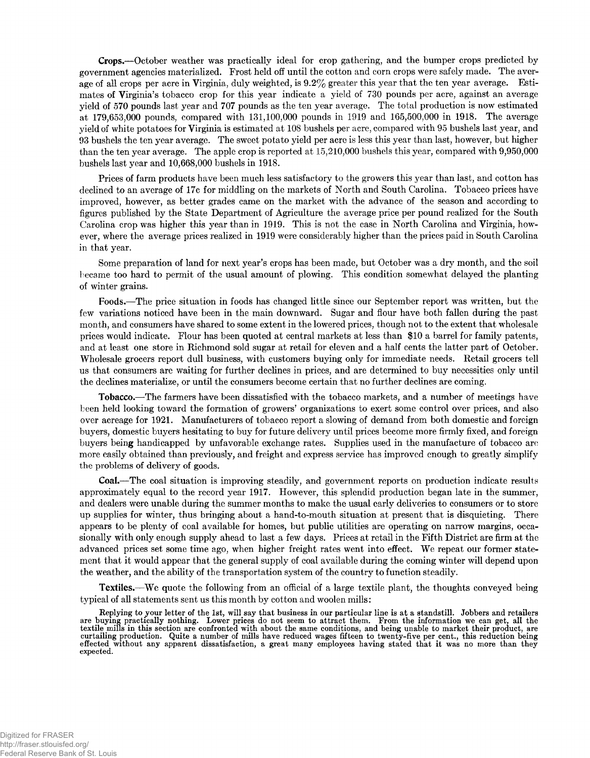**Crops.**— October weather was practically ideal for crop gathering, and the bumper crops predicted by government agencies materialized. Frost held off until the cotton and corn crops were safely made. The average of all crops per acre in Virginia, duly weighted, is 9.2% greater this year that the ten year average. Estimates of Virginia's tobacco crop for this year indicate a yield of 730 pounds per acre, against an average yield of 570 pounds last year and 707 pounds as the ten year average. The total production is now estimated at 179,653,000 pounds, compared with 131,100,000 pounds in 1919 and 165,500,000 in 1918. The average yield of white potatoes for Virginia is estimated at 108 bushels per acre, compared with 95 bushels last year, and 93 bushels the ten year average. The sweet potato yield per acre is less this year than last, however, but higher than the ten year average. The apple crop is reported at 15,210,000 bushels this year, compared with 9,950,000 bushels last year and 10,668,000 bushels in 1918.

Prices of farm products have been much less satisfactory to the growers this year than last, and cotton has declined to an average of 17c for middling on the markets of North and South Carolina. Tobacco prices have improved, however, as better grades came on the market with the advance of the season and according to figures published by the State Department of Agriculture the average price per pound realized for the South Carolina crop was higher this year than in 1919. This is not the case in North Carolina and Virginia, however, where the average prices realized in 1919 were considerably higher than the prices paid in South Carolina in that year.

Some preparation of land for next year's crops has been made, but October was a dry month, and the soil became too hard to permit of the usual amount of plowing. This condition somewhat delayed the planting of winter grains.

**Foods.**—The price situation in foods has changed little since our September report was written, but the few variations noticed have been in the main downward. Sugar and flour have both fallen during the past month, and consumers have shared to some extent in the lowered prices, though not to the extent that wholesale prices would indicate. Flour has been quoted at central markets at less than \$10 a barrel for family patents, and at least one store in Richmond sold sugar at retail for eleven and a half cents the latter part of October. Wholesale grocers report dull business, with customers buying only for immediate needs. Retail grocers tell us that consumers are waiting for further declines in prices, and are determined to buy necessities only until the declines materialize, or until the consumers become certain that no further declines are coming.

**Tobacco.**— The farmers have been dissatisfied with the tobacco markets, and a number of meetings have been held looking toward the formation of growers' organizations to exert some control over prices, and also over acreage for 1921. Manufacturers of tobacco report a slowing of demand from both domestic and foreign buyers, domestic buyers hesitating to buy for future delivery until prices become more firmly fixed, and foreign buyers being handicapped by unfavorable exchange rates. Supplies used in the manufacture of tobacco are more easily obtained than previously, and freight and express service has improved enough to greatly simplify the problems of delivery of goods.

**Coal.**— The coal situation is improving steadily, and government reports on production indicate results approximately equal to the record year 1917. However, this splendid production began late in the summer, and dealers were unable during the summer months to make the usual early deliveries to consumers or to store up supplies for winter, thus bringing about a hand-to-mouth situation at present that is disquieting. There appears to be plenty of coal available for homes, but public utilities are operating on narrow margins, occasionally with only enough supply ahead to last a few days. Prices at retail in the Fifth District are firm at the advanced prices set some time ago, when higher freight rates went into effect. We repeat our former statement that it would appear that the general supply of coal available during the coming winter will depend upon the weather, and the ability of the transportation system of the country to function steadily.

**Textiles.**—We quote the following from an official of a large textile plant, the thoughts conveyed being typical of all statements sent us this month by cotton and woolen mills:

**Replying to your letter of the 1st, will say that business in our particular line is at a standstill. Jobbers and retailers are buying practically nothing. Lower prices do not seem to attract them. From the information we can get, all the textile mills in this section are confronted with about the same conditions, and being unable to market their product, are curtailing production. Quite a number of mills have reduced wages fifteen to twenty-five per cent., this reduction being effected without any apparent dissatisfaction, a great many employees having stated that it was no more than they expected.**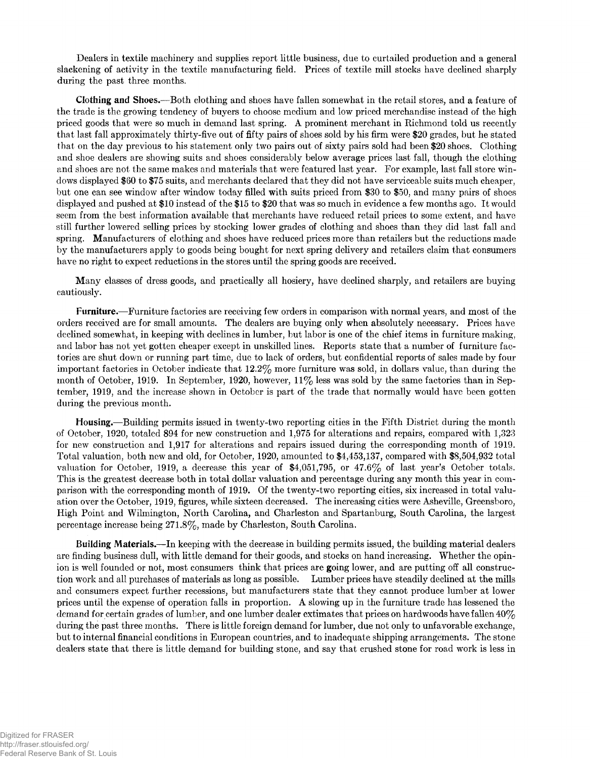Dealers in textile machinery and supplies report little business, due to curtailed production and a general slackening of activity in the textile manufacturing field. Prices of textile mill stocks have declined sharply during the past three months.

**Clothing and Shoes.**— Both clothing and shoes have fallen somewhat in the retail stores, and a feature of the trade is the growing tendency of buyers to choose medium and low priced merchandise instead of the high priced goods that were so much in demand last spring. A prominent merchant in Richmond told us recently that last fall approximately thirty-five out of fifty pairs of shoes sold by his firm were \$20 grades, but he stated that on the day previous to his statement only two pairs out of sixty pairs sold had been \$20 shoes. Clothing and shoe dealers are showing suits and shoes considerably below average prices last fall, though the clothing and shoes are not the same makes and materials that were featured last year. For example, last fall store windows displayed \$60 to \$75 suits, and merchants declared that they did not have serviceable suits much cheaper, but one can see window after window today filled with suits priced from \$30 to \$50, and many pairs of shoes displayed and pushed at \$10 instead of the \$15 to \$20 that was so much in evidence a few months ago. It would seem from the best information available that merchants have reduced retail prices to some extent, and have still further lowered selling prices by stocking lower grades of clothing and shoes than they did last fall and spring. Manufacturers of clothing and shoes have reduced prices more than retailers but the reductions made by the manufacturers apply to goods being bought for next spring delivery and retailers claim that consumers have no right to expect reductions in the stores until the spring goods are received.

Many classes of dress goods, and practically all hosiery, have declined sharply, and retailers are buying cautiously.

**Furniture,**—Furniture factories are receiving few orders in comparison with normal years, and most of the orders received are for small amounts. The dealers are buying only when absolutely necessary. Prices have declined somewhat, in keeping with declines in lumber, but labor is one of the chief items in furniture making, and labor has not yet gotten cheaper except in unskilled lines. Reports state that a number of furniture factories are shut down or running part time, due to lack of orders, but confidential reports of sales made by four important factories in October indicate that 12.2% more furniture was sold, in dollars value, than during the month of October, 1919. In September, 1920, however,  $11\%$  less was sold by the same factories than in September, 1919, and the increase shown in October is part of the trade that normally would have been gotten during the previous month.

**Housing.**— Building permits issued in twenty-two reporting cities in the Fifth District during the month of October, 1920, totaled 894 for new construction and 1,975 for alterations and repairs, compared with 1,323 for new construction and 1,917 for alterations and repairs issued during the corresponding month of 1919. Total valuation, both new and old, for October, 1920, amounted to \$4,453,137, compared with \$8,504,932 total valuation for October, 1919, a decrease this year of  $$4,051,795$ , or  $47.6\%$  of last year's October totals. This is the greatest decrease both in total dollar valuation and percentage during any month this year in comparison with the corresponding month of 1919. Of the twenty-two reporting cities, six increased in total valuation over the October, 1919, figures, while sixteen decreased. The increasing cities were Asheville, Greensboro, High Point and Wilmington, North Carolina, and Charleston and Spartanburg, South Carolina, the largest percentage increase being 271.8%, made by Charleston, South Carolina.

**Building Materials.**— In keeping with the decrease in building permits issued, the building material dealers are finding business dull, with little demand for their goods, and stocks on hand increasing. Whether the opinion is well founded or not, most consumers think that prices are going lower, and are putting off all construction work and all purchases of materials as long as possible. Lumber prices have steadily declined at the mills and consumers expect further recessions, but manufacturers state that they cannot produce lumber at lower prices until the expense of operation falls in proportion. A slowing up in the furniture trade has lessened the demand for certain grades of lumber, and one lumber dealer extimates that prices on hardwoods have fallen 40% during the past three months. There is little foreign demand for lumber, due not only to unfavorable exchange, but to internal financial conditions in European countries, and to inadequate shipping arrangements. The stone dealers state that there is little demand for building stone, and say that crushed stone for road work is less in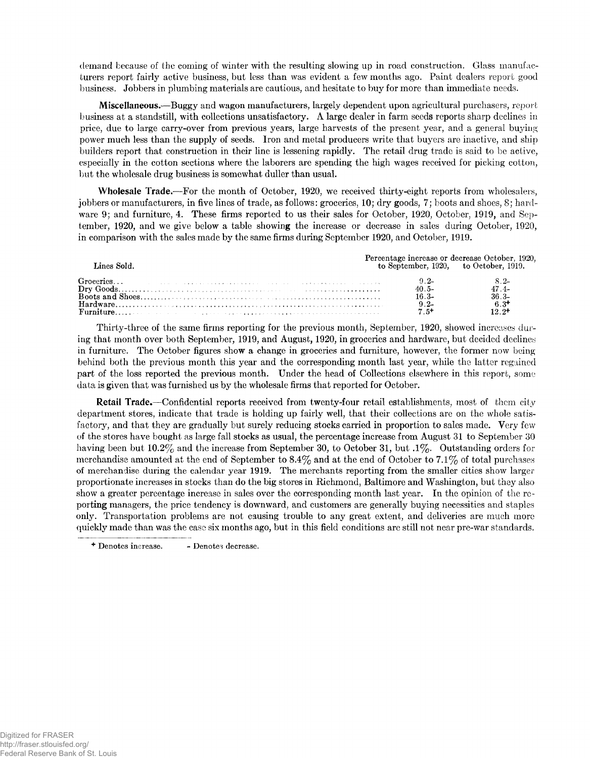demand because of the coming of winter with the resulting slowing up in road construction. Glass manufacturers report fairly active business, but less than was evident a few months ago. Paint dealers report good business. Jobbers in plumbing materials are cautious, and hesitate to buy for more than immediate needs.

**Miscellaneous.**— Buggy and wagon manufacturers, largely dependent upon agricultural purchasers, report business at a standstill, with collections unsatisfactory. A large dealer in farm seeds reports sharp declines in price, due to large carry-over from previous years, large harvests of the present year, and a general buying power much less than the supply of seeds. Iron and metal producers write that buyers are inactive, and ship builders report that construction in their line is lessening rapidly. The retail drug trade is said to be active, especially in the cotton sections where the laborers are spending the high wages received for picking cotton, but the wholesale drug business is somewhat duller than usual.

**Wholesale Trade.**—For the month of October, 1920, we received thirty-eight reports from wholesalers, jobbers or manufacturers, in five lines of trade, as follows: groceries, 10; dry goods, 7; boots and shoes, 8; hardware 9; and furniture, 4. These firms reported to us their sales for October, 1920, October, 1919, and September, 1920, and we give below a table showing the increase or decrease in sales during October, 1920, in comparison with the sales made by the same firms during September 1920, and October, 1919.

| Lines Sold. |         | Percentage increase or decrease October, 1920.<br>to September, 1920, to October, 1919. |
|-------------|---------|-----------------------------------------------------------------------------------------|
|             |         |                                                                                         |
|             | $40.5-$ | $47.4-$                                                                                 |
|             | $16.3-$ | $36.3-$                                                                                 |
|             | $9.2 -$ | $6.3^{\dagger}$                                                                         |
|             | $7.5+$  | $19.9 +$                                                                                |

Thirty-three of the same firms reporting for the previous month, September, 1920, showed increases during that month over both September, 1919, and August, 1920, in groceries and hardware, but decided declines in furniture. The October figures show a change in groceries and furniture, however, the former now being behind both the previous month this year and the corresponding month last year, while the latter regained part of the loss reported the previous month. Under the head of Collections elsewhere in this report, some data is given that was furnished us by the wholesale firms that reported for October.

**Retail Trade.—Confidential reports received from twenty-four retail establishments, most of them city** department stores, indicate that trade is holding up fairly well, that their collections are on the whole satisfactory, and that they are gradually but surely reducing stocks carried in proportion to sales made. Very few of the stores have bought as large fall stocks as usual, the percentage increase from August 31 to September 30 having been but 10.2% and the increase from September 30, to October 31, but .1%. Outstanding orders for merchandise amounted at the end of September to  $8.4\%$  and at the end of October to 7.1% of total purchases of merchandise during the calendar year 1919. The merchants reporting from the smaller cities show larger proportionate increases in stocks than do the big stores in Richmond, Baltimore and Washington, but they also show a greater percentage increase in sales over the corresponding month last year. In the opinion of the reporting managers, the price tendency is downward, and customers are generally buying necessities and staples only. Transportation problems are not causing trouble to any great extent, and deliveries are much more quickly made than was the case six months ago, but in this field conditions are still not near pre-war standards.

**<sup>+</sup> Denotes increase. - Denotes decrease.**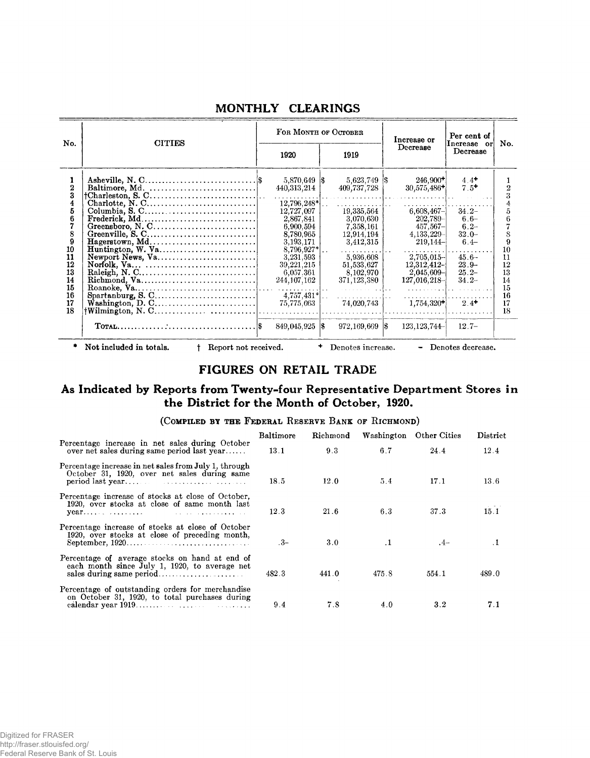|                          |                                                                                         |                                         | FOR MONTH OF OCTOBER                 | Increase or                               | Per cent of                   |                |
|--------------------------|-----------------------------------------------------------------------------------------|-----------------------------------------|--------------------------------------|-------------------------------------------|-------------------------------|----------------|
| No.                      | <b>CITIES</b>                                                                           | 1920                                    | 1919                                 |                                           | Increase or<br>Decrease       | No.            |
| 1<br>$\overline{2}$<br>3 |                                                                                         | $5,870,649$ \$<br>440,313,214           | 5,623,749 \$<br>409,737,728          | $246,900+$<br>$30,575,486+$               | $4.4+$<br>$7.5+$              |                |
| 4<br>5<br>6              | $\textbf{Frederick}, \textbf{Md} \dots \dots \dots \dots \dots \dots \dots \dots \dots$ | 12,796,248*<br>12,727,097<br>2,867,841  | 19,335,564<br>3,070,630              | $6,608,467-$<br>$202,789 -$               | $34.2 -$<br>$6.6-$            |                |
| 7<br>8<br>9              | Hagerstown, Md                                                                          | 6,900,594<br>8,780,965<br>3, 193, 171   | 7,358,161<br>12,914,194<br>3,412,315 | $457,567 -$<br>$4,133,229-$<br>$219,144-$ | $6.2 -$<br>$32.0 -$<br>$6.4-$ |                |
| 10<br>11<br>12           |                                                                                         | 8,796,927*<br>3,231,593<br>39, 221, 215 | 5,936,608<br>51,533,627              | $2,705,015-$<br>$12,312,412$ -            | $45.6 -$<br>$23.9 -$          | 10<br>11<br>12 |
| 13<br>14<br>15           |                                                                                         | 6,057.361<br>244,107,162                | 8,102,970<br>371,123,380             | $2,045,609 -$<br>127,016,218              | $25.2-$<br>$34.2-$            | 13<br>14<br>15 |
| 16<br>17<br>18           |                                                                                         | $4,757,431*$<br>75,775,063              | 74,020,743                           | $1,754,320+$                              | $2.4+$                        | 16<br>17<br>18 |
|                          |                                                                                         | $849,045,925$ \$                        | $972,169,669$ $\vert \text{\$}$      | 123, 123, 744                             | $12.7-$                       |                |
|                          | Not included in totals.<br>Report not received.                                         |                                         | $+$<br>Denotes increase.             |                                           | - Denotes decrease.           |                |

### **MONTHLY CLEARINGS**

#### **FIGURES ON RETAIL TRADE**

### **As Indicated by Reports from Twenty-four Representative Department Stores in the District for the Month of October, 1920.**

#### (COMPILED BY THE FEDERAL RESERVE BANK OF RICHMOND)

|                                                                                                              | Baltimore |                  | Richmond Washington | Other Cities | District |
|--------------------------------------------------------------------------------------------------------------|-----------|------------------|---------------------|--------------|----------|
| Percentage increase in net sales during October<br>over net sales during same period last year               | 13.1      | 9.3              | 6.7                 | 24.4         | 12.4     |
| Percentage increase in net sales from July 1, through<br>October 31, 1920, over net sales during same        | 18.5      | 12.0             | 5.4                 | 17.1         | 13.6     |
| Percentage increase of stocks at close of October.<br>1920, over stocks at close of same month last<br>year. | 12.3      | 21.6             | 6.3                 | 37.3         | 15.1     |
| Percentage increase of stocks at close of October<br>1920, over stocks at close of preceding month,          | $-3-$     | 3.0 <sub>1</sub> | $\cdot$ 1           | $-4-$        |          |
| Percentage of average stocks on hand at end of<br>each month since July 1, 1920, to average net              | 482.3     | 441.0            | 475.8               | 554.1        | 489.0    |
| Percentage of outstanding orders for merchandise<br>on October 31, 1920, to total purchases during           | 9.4       | 7.8              | 4.0                 | 3.2          | 7.1      |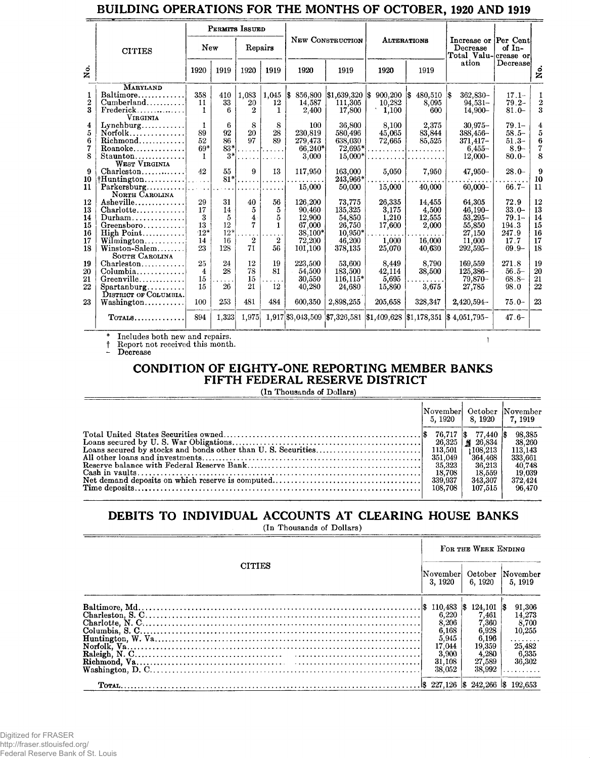## BUILDING OPERATIONS FOR THE MONTHS OF OCTOBER, 1920 AND 1919

|                                            |                                                                                                                                                                    |                                           |                                              | PERMITS ISSUED                                           |                                                        |                                                                       |                                                                       |                                                       |                                                        |                                                                               |                                                                    |                                        |
|--------------------------------------------|--------------------------------------------------------------------------------------------------------------------------------------------------------------------|-------------------------------------------|----------------------------------------------|----------------------------------------------------------|--------------------------------------------------------|-----------------------------------------------------------------------|-----------------------------------------------------------------------|-------------------------------------------------------|--------------------------------------------------------|-------------------------------------------------------------------------------|--------------------------------------------------------------------|----------------------------------------|
|                                            | <b>CITIES</b>                                                                                                                                                      | New                                       |                                              | Repairs                                                  |                                                        |                                                                       | NEW CONSTRUCTION                                                      |                                                       | <b>ALTERATIONS</b>                                     | Increase or Per Cent<br>Decrease<br>Total Valu-crease or                      | of $In-$                                                           |                                        |
| å.                                         |                                                                                                                                                                    | 1920                                      | 1919                                         | 1920                                                     | 1919                                                   | 1920                                                                  | 1919                                                                  | 1920                                                  | 1919                                                   | ation                                                                         | Decrease                                                           | ż                                      |
| 1<br>$\boldsymbol{2}$<br>$\mathbf{a}$<br>4 | <b>MARYLAND</b><br>$Baltimore \ldots $<br>$Cumberland$<br>$Frederick \ldots \ldots \ldots$<br><b>VIRGINIA</b><br>$Lynchburg \ldots$                                | 358<br>11<br>1.<br>$\mathbf{1}$           | 410<br>33<br>6.<br>6                         | 1,083<br>20<br>$\mathbf{2}$<br>8                         | $1,045$ \$<br>12<br>$\mathbf{1}$<br>8                  | 856,800<br>14.587<br>2,400<br>100                                     | $\$1,639,320$ $\$$<br>111.305<br>17,800<br>36,800                     | 900,200<br>10,282<br>1,100<br>8,100                   | \$480,510<br>8,095<br>600<br>2,375                     | 1\$<br>362.830-<br>$94.531 -$<br>14.900-<br>$30,975-$                         | $17.1 -$<br>$79.2 -$<br>$81.0 -$<br>$79.1 -$                       | $\overline{2}$<br>3<br>4               |
| 5<br>6<br>7<br>8                           | $Norfolk$<br>$Roanoke$<br>Staunton<br><b>WEST VIRGINIA</b>                                                                                                         | 89<br>52<br>$69*$<br>1                    | 92<br>86<br>83*<br>$3*$                      | 20<br>97                                                 | 28<br>89                                               | 230,819<br>279,473<br>$66,240*$<br>3,000                              | 580,496<br>638,030<br>72,695*<br>$15,000*$                            | 45,065<br>72,665                                      | 83,844<br>85,525<br>. <b>.</b>                         | 388,456-<br>$371,417-$<br>$6.455 -$<br>$12,000 -$                             | $58.5 -$<br>$51.3-$<br>$8.9 -$<br>$80.0 -$                         | 5<br>6<br>7<br>8                       |
| 9<br>10<br>11                              | $Charleston \ldots \ldots \ldots$<br>$\dagger$ Huntington <br>${\bf Parkersburg.}\dots\dots\dots\dots$<br>NORTH CAROLINA                                           | 42<br>a a shekar                          | 55<br>$81*$<br>$\sim 100$ km s $^{-1}$       | 9<br>.                                                   | 13<br>.<br>1.1.1.1                                     | 117,950<br>15,000                                                     | 163,000<br>243.966*<br>50,000                                         | 5,050<br>15,000                                       | 7,950<br>40,000                                        | $47,950 -$<br>$60,000 -$                                                      | $28.0 -$<br>$66.7 -$                                               | 9<br>10<br>11                          |
| 12<br>13<br>14<br>15<br>16<br>17<br>18     | Asheville<br>$Charlotte \ldots \ldots \ldots$<br>$Durham \ldots \ldots \ldots \ldots$<br>Greensboro<br>High Point<br>Wilmington<br>Winston-Salem<br>SOUTH CAROLINA | 29<br>17<br>3<br>13<br>$:12*$<br>14<br>23 | 31<br>14<br>5<br>12<br>$12^{*}$<br>16<br>128 | 40<br>5<br>$\overline{4}$<br>7<br>$\boldsymbol{2}$<br>71 | 56<br>5<br>5<br>$\mathbf{1}$<br>$\boldsymbol{2}$<br>56 | 126.200<br>90,460<br>12,900<br>67,000<br>38,100*<br>72,200<br>101,100 | 73.775<br>135,325<br>54,850<br>26,750<br>10.950*<br>46,200<br>378,135 | 26.335<br>3,175<br>1,210<br>17,600<br>1,000<br>25,070 | 14.455<br>4,500<br>12,555<br>2,000<br>16.000<br>40,630 | 64.305<br>$46,190-$<br>$53,295-$<br>55,850<br>27,150<br>11,000<br>$292,595 -$ | 72.9<br>$33.0 -$<br>$79.1 -$<br>194.3<br>247.9<br>17.7<br>$69.9 -$ | 12<br>13<br>14<br>15<br>16<br>17<br>18 |
| 19<br>20<br>21<br>22<br>23                 | $Charleston \ldots \ldots \ldots$<br>Greenville<br>Spartanburg<br>DISTRICT OF COLUMBIA.                                                                            | 25<br>$\overline{4}$<br>15<br>15<br>100   | 24<br>28<br>.<br>26<br>253                   | 12<br>78<br>15<br>21<br>481                              | 19<br>81<br>$\sim$<br>12<br>484                        | 223,500<br>54,500<br>30,550<br>40,280<br>600,350                      | 53,600<br>183,500<br>116,115*<br>24,680<br>2,898,255                  | 8,449<br>42.114<br>5,695<br>15,860<br>205,658         | 8,790<br>38,500<br>3,675<br>328,347                    | 169,559<br>125,386-<br>79.870-<br>27,785<br>2,420,594                         | 271.8<br>$56.5 -$<br>$68.8 -$<br>98.0<br>$75.0 -$                  | 19<br>20<br>21<br>22<br>23             |
|                                            | $T$ OTALS                                                                                                                                                          | 894                                       | 1,323                                        | 1,975                                                    |                                                        |                                                                       |                                                                       |                                                       |                                                        | 1,917 \$3,043,509 \$7,326,581 \$1,409,628 \$1,178,351 \$4,051,795             | $47.6-$                                                            |                                        |

Includes both new and repairs.<br>Report not received this month.<br>Decrease

 $\ddagger$ 

# CONDITION OF EIGHTY-ONE REPORTING MEMBER BANKS FIFTH FEDERAL RESERVE DISTRICT

 $\lambda$ 

(In Thousands of Dollars)

|                                            | 5.1920   8.1920   7.1919                                                            | November October November                                                       |
|--------------------------------------------|-------------------------------------------------------------------------------------|---------------------------------------------------------------------------------|
| 351.049<br>- 35.323<br>- 18.708<br>108.708 | $77.440~\text{\AA}$<br>108.213<br>364.468<br>36.213<br>18.559<br>343,307<br>107,515 | 98,385<br>38,260<br>113.143<br>333.661<br>40,748<br>19.039<br>372.424<br>96.470 |

# DEBITS TO INDIVIDUAL ACCOUNTS AT CLEARING HOUSE BANKS

(In Thousands of Dollars)

|               |                                                      | FOR THE WEEK ENDING                                                      |                                                                       |
|---------------|------------------------------------------------------|--------------------------------------------------------------------------|-----------------------------------------------------------------------|
| <b>CITIES</b> | November  October  November<br>3.1920                | 6, 1920                                                                  | 5.1919                                                                |
|               | 8.206<br>6,168<br>5,945<br>17,044<br>3.900<br>31.108 | 124.101<br>7.461<br>7,360<br>6,928<br>6.196<br>19,359<br>4,280<br>27,589 | 91,306<br>14,273<br>8,700<br>10,255<br>.<br>25,482<br>6,335<br>36,302 |
|               | 38,052                                               | 38.992                                                                   | .                                                                     |